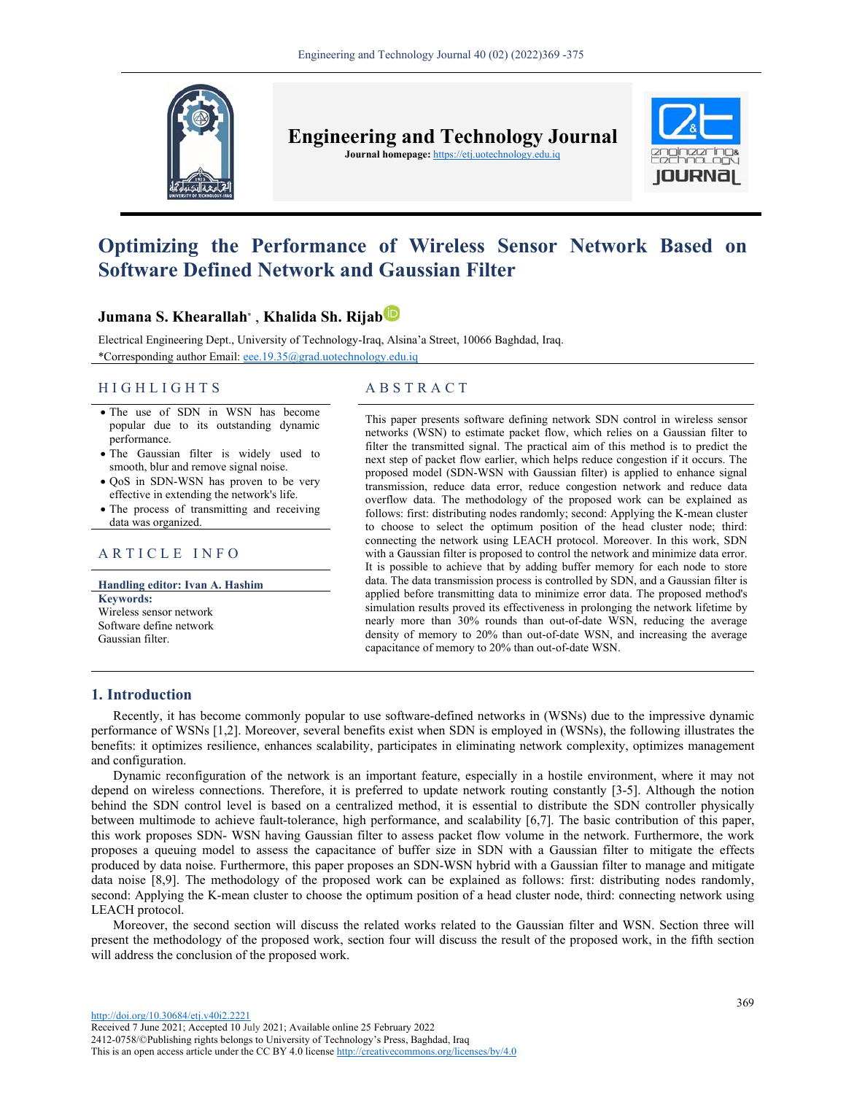

**Engineering and Technology Journal Journal homepage:** https://etj.uotechnology.edu.iq



# **Optimizing the Performance of Wireless Sensor Network Based on Software Defined Network and Gaussian Filter**

# **Jumana S. Khearallah\*** , **Khalida Sh. Rijab**

Electrical Engineering Dept., University of Technology-Iraq, Alsina'a Street, 10066 Baghdad, Iraq. \*Corresponding author Email: eee.19.35@grad.uotechnology.edu.iq

# HIGHLIGHTS ABSTRACT

- The use of SDN in WSN has become popular due to its outstanding dynamic performance.
- The Gaussian filter is widely used to smooth, blur and remove signal noise.
- QoS in SDN-WSN has proven to be very effective in extending the network's life.
- The process of transmitting and receiving data was organized.

# ARTICLE INFO

**Handling editor: Ivan A. Hashim Keywords:** Wireless sensor network Software define network Gaussian filter.

This paper presents software defining network SDN control in wireless sensor networks (WSN) to estimate packet flow, which relies on a Gaussian filter to filter the transmitted signal. The practical aim of this method is to predict the next step of packet flow earlier, which helps reduce congestion if it occurs. The proposed model (SDN-WSN with Gaussian filter) is applied to enhance signal transmission, reduce data error, reduce congestion network and reduce data overflow data. The methodology of the proposed work can be explained as follows: first: distributing nodes randomly; second: Applying the K-mean cluster to choose to select the optimum position of the head cluster node; third: connecting the network using LEACH protocol. Moreover. In this work, SDN with a Gaussian filter is proposed to control the network and minimize data error. It is possible to achieve that by adding buffer memory for each node to store data. The data transmission process is controlled by SDN, and a Gaussian filter is applied before transmitting data to minimize error data. The proposed method's simulation results proved its effectiveness in prolonging the network lifetime by nearly more than 30% rounds than out-of-date WSN, reducing the average density of memory to 20% than out-of-date WSN, and increasing the average capacitance of memory to 20% than out-of-date WSN.

# **1. Introduction**

Recently, it has become commonly popular to use software-defined networks in (WSNs) due to the impressive dynamic performance of WSNs [1,2]. Moreover, several benefits exist when SDN is employed in (WSNs), the following illustrates the benefits: it optimizes resilience, enhances scalability, participates in eliminating network complexity, optimizes management and configuration.

Dynamic reconfiguration of the network is an important feature, especially in a hostile environment, where it may not depend on wireless connections. Therefore, it is preferred to update network routing constantly [3-5]. Although the notion behind the SDN control level is based on a centralized method, it is essential to distribute the SDN controller physically between multimode to achieve fault-tolerance, high performance, and scalability [6,7]. The basic contribution of this paper, this work proposes SDN- WSN having Gaussian filter to assess packet flow volume in the network. Furthermore, the work proposes a queuing model to assess the capacitance of buffer size in SDN with a Gaussian filter to mitigate the effects produced by data noise. Furthermore, this paper proposes an SDN-WSN hybrid with a Gaussian filter to manage and mitigate data noise [8,9]. The methodology of the proposed work can be explained as follows: first: distributing nodes randomly, second: Applying the K-mean cluster to choose the optimum position of a head cluster node, third: connecting network using LEACH protocol.

Moreover, the second section will discuss the related works related to the Gaussian filter and WSN. Section three will present the methodology of the proposed work, section four will discuss the result of the proposed work, in the fifth section will address the conclusion of the proposed work.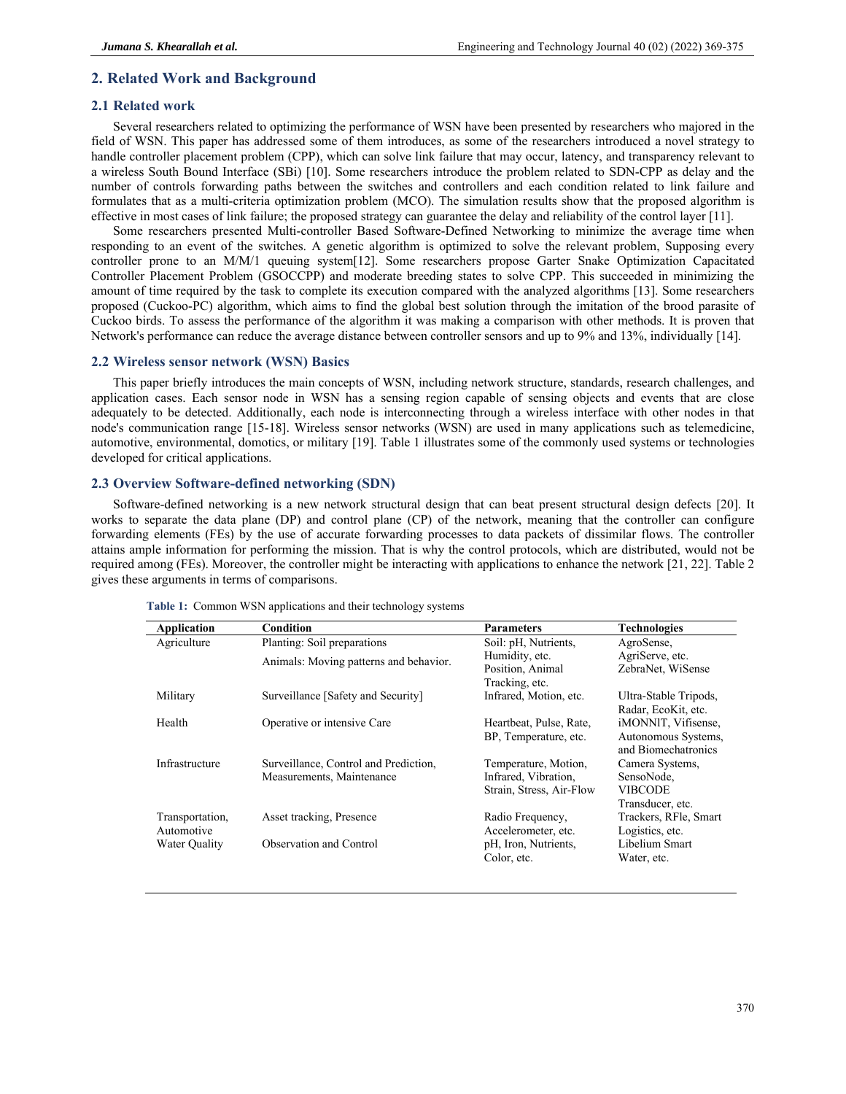# **2. Related Work and Background**

# **2.1 Related work**

Several researchers related to optimizing the performance of WSN have been presented by researchers who majored in the field of WSN. This paper has addressed some of them introduces, as some of the researchers introduced a novel strategy to handle controller placement problem (CPP), which can solve link failure that may occur, latency, and transparency relevant to a wireless South Bound Interface (SBi) [10]. Some researchers introduce the problem related to SDN-CPP as delay and the number of controls forwarding paths between the switches and controllers and each condition related to link failure and formulates that as a multi-criteria optimization problem (MCO). The simulation results show that the proposed algorithm is effective in most cases of link failure; the proposed strategy can guarantee the delay and reliability of the control layer [11].

Some researchers presented Multi-controller Based Software-Defined Networking to minimize the average time when responding to an event of the switches. A genetic algorithm is optimized to solve the relevant problem, Supposing every controller prone to an M/M/1 queuing system[12]. Some researchers propose Garter Snake Optimization Capacitated Controller Placement Problem (GSOCCPP) and moderate breeding states to solve CPP. This succeeded in minimizing the amount of time required by the task to complete its execution compared with the analyzed algorithms [13]. Some researchers proposed (Cuckoo-PC) algorithm, which aims to find the global best solution through the imitation of the brood parasite of Cuckoo birds. To assess the performance of the algorithm it was making a comparison with other methods. It is proven that Network's performance can reduce the average distance between controller sensors and up to 9% and 13%, individually [14].

#### **2.2 Wireless sensor network (WSN) Basics**

This paper briefly introduces the main concepts of WSN, including network structure, standards, research challenges, and application cases. Each sensor node in WSN has a sensing region capable of sensing objects and events that are close adequately to be detected. Additionally, each node is interconnecting through a wireless interface with other nodes in that node's communication range [15-18]. Wireless sensor networks (WSN) are used in many applications such as telemedicine, automotive, environmental, domotics, or military [19]. Table 1 illustrates some of the commonly used systems or technologies developed for critical applications.

### **2.3 Overview Software-defined networking (SDN)**

Software-defined networking is a new network structural design that can beat present structural design defects [20]. It works to separate the data plane (DP) and control plane (CP) of the network, meaning that the controller can configure forwarding elements (FEs) by the use of accurate forwarding processes to data packets of dissimilar flows. The controller attains ample information for performing the mission. That is why the control protocols, which are distributed, would not be required among (FEs). Moreover, the controller might be interacting with applications to enhance the network [21, 22]. Table 2 gives these arguments in terms of comparisons.

| Application     | Condition                              | <b>Parameters</b>        | <b>Technologies</b>   |
|-----------------|----------------------------------------|--------------------------|-----------------------|
| Agriculture     | Planting: Soil preparations            | Soil: pH, Nutrients,     | AgroSense,            |
|                 | Animals: Moving patterns and behavior. | Humidity, etc.           | AgriServe, etc.       |
|                 |                                        | Position, Animal         | ZebraNet, WiSense     |
|                 |                                        | Tracking, etc.           |                       |
| Military        | Surveillance [Safety and Security]     | Infrared, Motion, etc.   | Ultra-Stable Tripods, |
|                 |                                        |                          | Radar, EcoKit, etc.   |
| Health          | Operative or intensive Care            | Heartbeat, Pulse, Rate,  | iMONNIT, Vifisense,   |
|                 |                                        | BP, Temperature, etc.    | Autonomous Systems,   |
|                 |                                        |                          | and Biomechatronics   |
| Infrastructure  | Surveillance, Control and Prediction,  | Temperature, Motion,     | Camera Systems,       |
|                 | Measurements, Maintenance              | Infrared, Vibration,     | SensoNode.            |
|                 |                                        | Strain, Stress, Air-Flow | <b>VIBCODE</b>        |
|                 |                                        |                          | Transducer, etc.      |
| Transportation, | Asset tracking, Presence               | Radio Frequency,         | Trackers, RFle, Smart |
| Automotive      |                                        | Accelerometer, etc.      | Logistics, etc.       |
| Water Quality   | Observation and Control                | pH, Iron, Nutrients,     | Libelium Smart        |
|                 |                                        | Color, etc.              | Water, etc.           |
|                 |                                        |                          |                       |

**Table 1:** Common WSN applications and their technology systems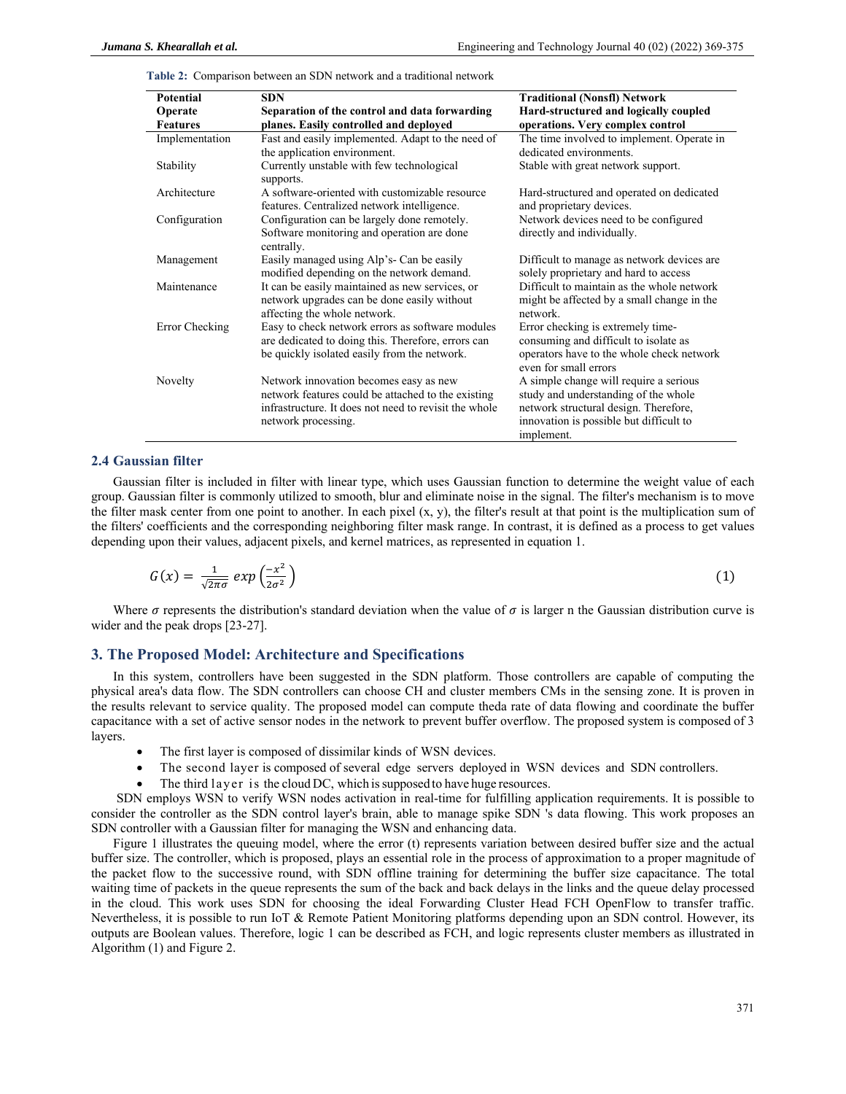**Table 2:** Comparison between an SDN network and a traditional network

| <b>Potential</b> | <b>SDN</b>                                               | <b>Traditional (Nonsfl) Network</b>                                |
|------------------|----------------------------------------------------------|--------------------------------------------------------------------|
| Operate          | Separation of the control and data forwarding            | Hard-structured and logically coupled                              |
| <b>Features</b>  | planes. Easily controlled and deployed                   | operations. Very complex control                                   |
| Implementation   | Fast and easily implemented. Adapt to the need of        | The time involved to implement. Operate in                         |
|                  | the application environment.                             | dedicated environments.                                            |
| Stability        | Currently unstable with few technological<br>supports.   | Stable with great network support.                                 |
| Architecture     | A software-oriented with customizable resource           | Hard-structured and operated on dedicated                          |
|                  | features. Centralized network intelligence.              | and proprietary devices.                                           |
| Configuration    | Configuration can be largely done remotely.              | Network devices need to be configured                              |
|                  | Software monitoring and operation are done<br>centrally. | directly and individually.                                         |
| Management       | Easily managed using Alp's- Can be easily                | Difficult to manage as network devices are.                        |
|                  | modified depending on the network demand.                | solely proprietary and hard to access                              |
| Maintenance      | It can be easily maintained as new services, or          | Difficult to maintain as the whole network                         |
|                  | network upgrades can be done easily without              | might be affected by a small change in the                         |
|                  | affecting the whole network.                             | network.                                                           |
| Error Checking   | Easy to check network errors as software modules         | Error checking is extremely time-                                  |
|                  | are dedicated to doing this. Therefore, errors can       | consuming and difficult to isolate as                              |
|                  | be quickly isolated easily from the network.             | operators have to the whole check network<br>even for small errors |
| Novelty          | Network innovation becomes easy as new                   | A simple change will require a serious                             |
|                  | network features could be attached to the existing       | study and understanding of the whole                               |
|                  | infrastructure. It does not need to revisit the whole    | network structural design. Therefore,                              |
|                  | network processing.                                      | innovation is possible but difficult to                            |
|                  |                                                          | implement.                                                         |

# **2.4 Gaussian filter**

Gaussian filter is included in filter with linear type, which uses Gaussian function to determine the weight value of each group. Gaussian filter is commonly utilized to smooth, blur and eliminate noise in the signal. The filter's mechanism is to move the filter mask center from one point to another. In each pixel  $(x, y)$ , the filter's result at that point is the multiplication sum of the filters' coefficients and the corresponding neighboring filter mask range. In contrast, it is defined as a process to get values depending upon their values, adjacent pixels, and kernel matrices, as represented in equation 1.

$$
G(x) = \frac{1}{\sqrt{2\pi\sigma}} \exp\left(\frac{-x^2}{2\sigma^2}\right) \tag{1}
$$

Where  $\sigma$  represents the distribution's standard deviation when the value of  $\sigma$  is larger n the Gaussian distribution curve is wider and the peak drops [23-27].

## **3. The Proposed Model: Architecture and Specifications**

In this system, controllers have been suggested in the SDN platform. Those controllers are capable of computing the physical area's data flow. The SDN controllers can choose CH and cluster members CMs in the sensing zone. It is proven in the results relevant to service quality. The proposed model can compute theda rate of data flowing and coordinate the buffer capacitance with a set of active sensor nodes in the network to prevent buffer overflow. The proposed system is composed of 3 layers.

- The first layer is composed of dissimilar kinds of WSN devices.
- The second layer is composed of several edge servers deployed in WSN devices and SDN controllers.
- The third layer is the cloud DC, which is supposed to have huge resources.

 SDN employs WSN to verify WSN nodes activation in real-time for fulfilling application requirements. It is possible to consider the controller as the SDN control layer's brain, able to manage spike SDN 's data flowing. This work proposes an SDN controller with a Gaussian filter for managing the WSN and enhancing data.

Figure 1 illustrates the queuing model, where the error (t) represents variation between desired buffer size and the actual buffer size. The controller, which is proposed, plays an essential role in the process of approximation to a proper magnitude of the packet flow to the successive round, with SDN offline training for determining the buffer size capacitance. The total waiting time of packets in the queue represents the sum of the back and back delays in the links and the queue delay processed in the cloud. This work uses SDN for choosing the ideal Forwarding Cluster Head FCH OpenFlow to transfer traffic. Nevertheless, it is possible to run IoT & Remote Patient Monitoring platforms depending upon an SDN control. However, its outputs are Boolean values. Therefore, logic 1 can be described as FCH, and logic represents cluster members as illustrated in Algorithm (1) and Figure 2.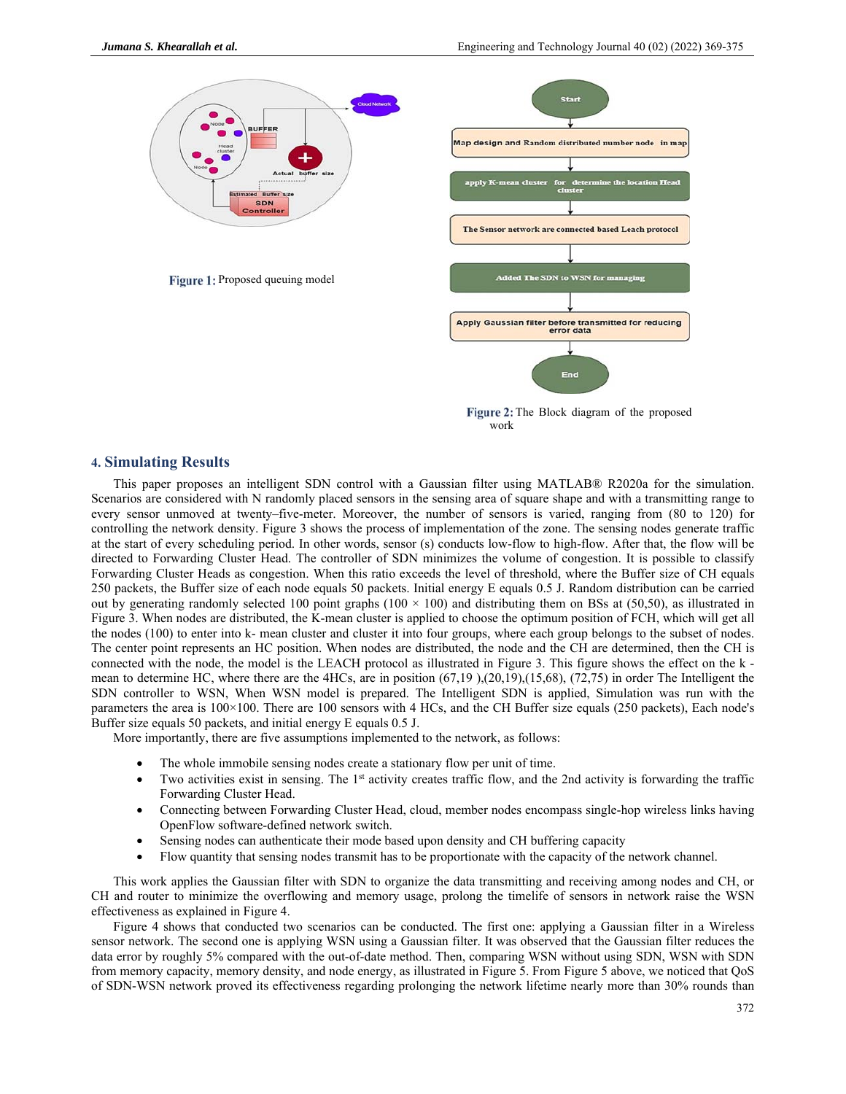

Figure 2: The Block diagram of the proposed work

# **4. Simulating Results**

This paper proposes an intelligent SDN control with a Gaussian filter using MATLAB® R2020a for the simulation. Scenarios are considered with N randomly placed sensors in the sensing area of square shape and with a transmitting range to every sensor unmoved at twenty–five-meter. Moreover, the number of sensors is varied, ranging from (80 to 120) for controlling the network density. Figure 3 shows the process of implementation of the zone. The sensing nodes generate traffic at the start of every scheduling period. In other words, sensor (s) conducts low-flow to high-flow. After that, the flow will be directed to Forwarding Cluster Head. The controller of SDN minimizes the volume of congestion. It is possible to classify Forwarding Cluster Heads as congestion. When this ratio exceeds the level of threshold, where the Buffer size of CH equals 250 packets, the Buffer size of each node equals 50 packets. Initial energy E equals 0.5 J. Random distribution can be carried out by generating randomly selected 100 point graphs ( $100 \times 100$ ) and distributing them on BSs at (50,50), as illustrated in Figure 3. When nodes are distributed, the K-mean cluster is applied to choose the optimum position of FCH, which will get all the nodes (100) to enter into k- mean cluster and cluster it into four groups, where each group belongs to the subset of nodes. The center point represents an HC position. When nodes are distributed, the node and the CH are determined, then the CH is connected with the node, the model is the LEACH protocol as illustrated in Figure 3. This figure shows the effect on the k mean to determine HC, where there are the 4HCs, are in position (67,19 ),(20,19),(15,68), (72,75) in order The Intelligent the SDN controller to WSN, When WSN model is prepared. The Intelligent SDN is applied, Simulation was run with the parameters the area is 100×100. There are 100 sensors with 4 HCs, and the CH Buffer size equals (250 packets), Each node's Buffer size equals 50 packets, and initial energy E equals 0.5 J.

More importantly, there are five assumptions implemented to the network, as follows:

- The whole immobile sensing nodes create a stationary flow per unit of time.
- Two activities exist in sensing. The 1<sup>st</sup> activity creates traffic flow, and the 2nd activity is forwarding the traffic Forwarding Cluster Head.
- Connecting between Forwarding Cluster Head, cloud, member nodes encompass single-hop wireless links having OpenFlow software-defined network switch.
- Sensing nodes can authenticate their mode based upon density and CH buffering capacity
- Flow quantity that sensing nodes transmit has to be proportionate with the capacity of the network channel.

This work applies the Gaussian filter with SDN to organize the data transmitting and receiving among nodes and CH, or CH and router to minimize the overflowing and memory usage, prolong the timelife of sensors in network raise the WSN effectiveness as explained in Figure 4.

Figure 4 shows that conducted two scenarios can be conducted. The first one: applying a Gaussian filter in a Wireless sensor network. The second one is applying WSN using a Gaussian filter. It was observed that the Gaussian filter reduces the data error by roughly 5% compared with the out-of-date method. Then, comparing WSN without using SDN, WSN with SDN from memory capacity, memory density, and node energy, as illustrated in Figure 5. From Figure 5 above, we noticed that QoS of SDN-WSN network proved its effectiveness regarding prolonging the network lifetime nearly more than 30% rounds than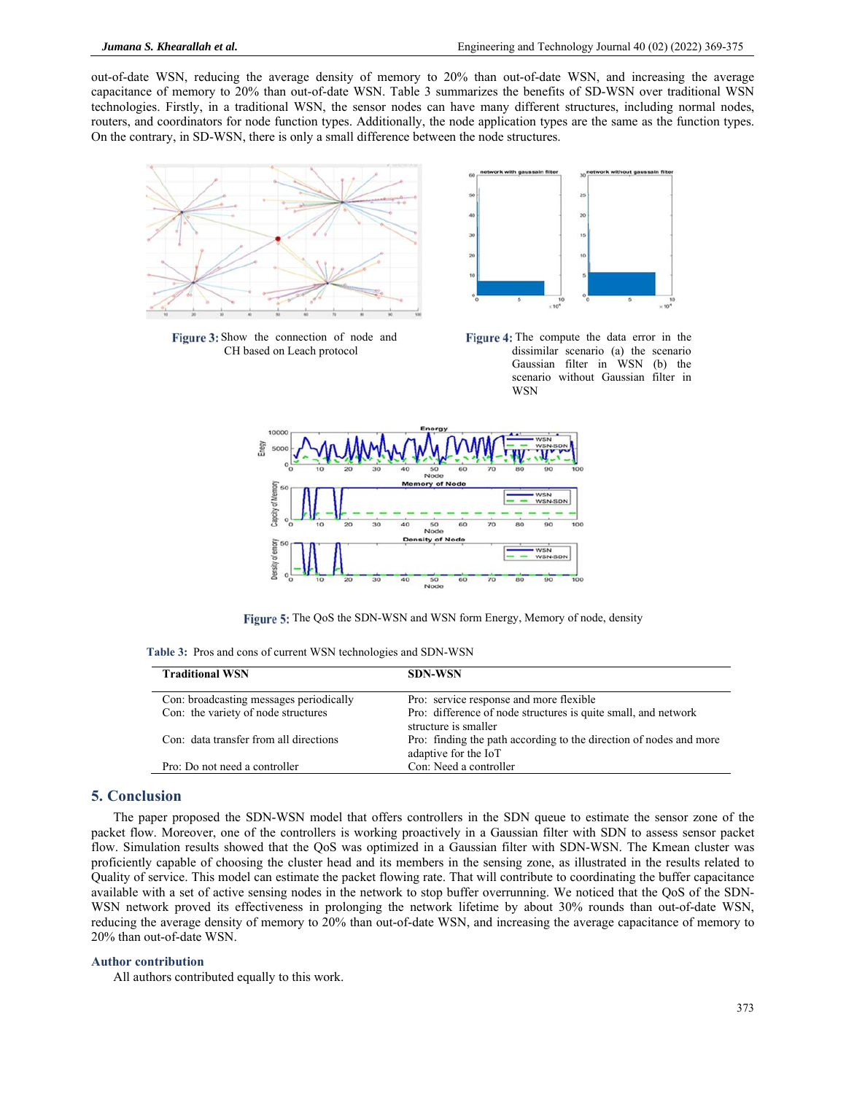out-of-date WSN, reducing the average density of memory to 20% than out-of-date WSN, and increasing the average capacitance of memory to 20% than out-of-date WSN. Table 3 summarizes the benefits of SD-WSN over traditional WSN technologies. Firstly, in a traditional WSN, the sensor nodes can have many different structures, including normal nodes, routers, and coordinators for node function types. Additionally, the node application types are the same as the function types. On the contrary, in SD-WSN, there is only a small difference between the node structures.



Figure 3: Show the connection of node and CH based on Leach protocol



Figure 4: The compute the data error in the dissimilar scenario (a) the scenario Gaussian filter in WSN (b) the scenario without Gaussian filter in WSN



Figure 5: The QoS the SDN-WSN and WSN form Energy, Memory of node, density

**Table 3:** Pros and cons of current WSN technologies and SDN-WSN

| <b>Traditional WSN</b>                  | <b>SDN-WSN</b>                                                                             |
|-----------------------------------------|--------------------------------------------------------------------------------------------|
| Con: broadcasting messages periodically | Pro: service response and more flexible                                                    |
| Con: the variety of node structures     | Pro: difference of node structures is quite small, and network<br>structure is smaller     |
| Con: data transfer from all directions  | Pro: finding the path according to the direction of nodes and more<br>adaptive for the IoT |
| Pro: Do not need a controller           | Con: Need a controller                                                                     |

# **5. Conclusion**

The paper proposed the SDN-WSN model that offers controllers in the SDN queue to estimate the sensor zone of the packet flow. Moreover, one of the controllers is working proactively in a Gaussian filter with SDN to assess sensor packet flow. Simulation results showed that the QoS was optimized in a Gaussian filter with SDN-WSN. The Kmean cluster was proficiently capable of choosing the cluster head and its members in the sensing zone, as illustrated in the results related to Quality of service. This model can estimate the packet flowing rate. That will contribute to coordinating the buffer capacitance available with a set of active sensing nodes in the network to stop buffer overrunning. We noticed that the QoS of the SDN-WSN network proved its effectiveness in prolonging the network lifetime by about 30% rounds than out-of-date WSN, reducing the average density of memory to 20% than out-of-date WSN, and increasing the average capacitance of memory to 20% than out-of-date WSN.

#### **Author contribution**

All authors contributed equally to this work.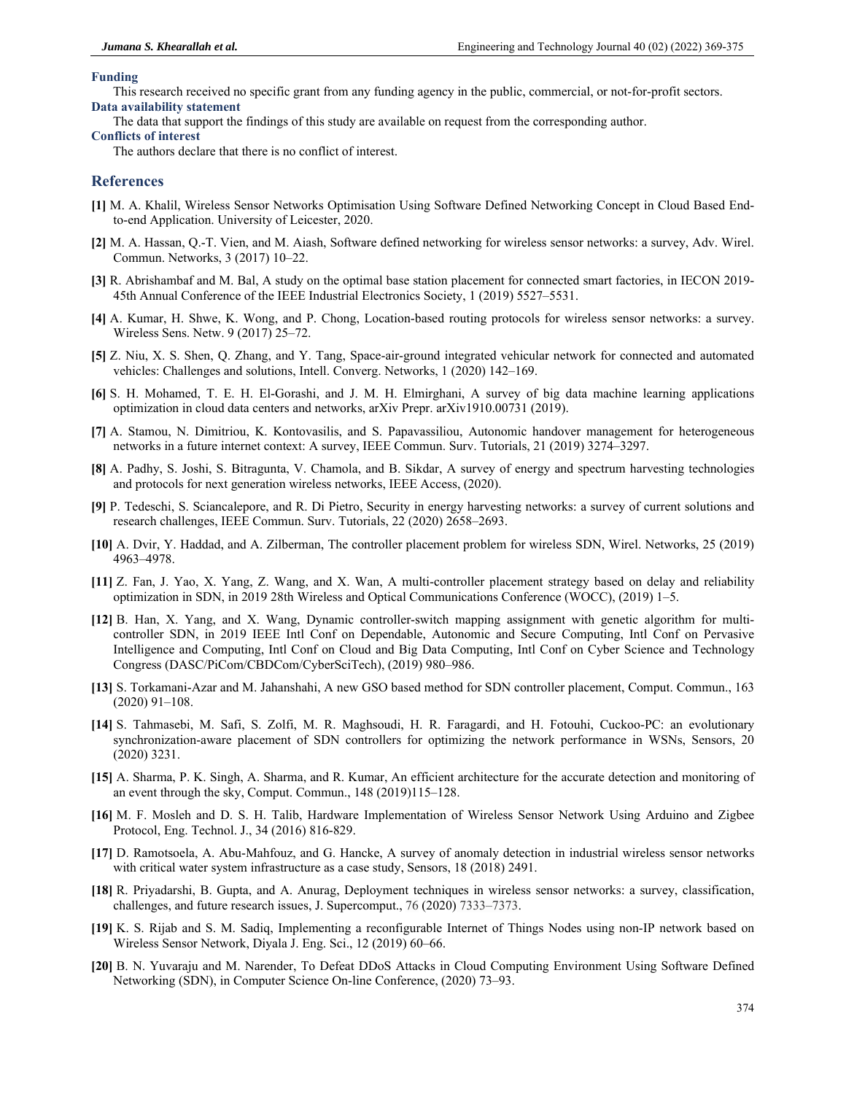#### **Funding**

This research received no specific grant from any funding agency in the public, commercial, or not-for-profit sectors. **Data availability statement** 

The data that support the findings of this study are available on request from the corresponding author.

#### **Conflicts of interest**

The authors declare that there is no conflict of interest.

# **References**

- **[1]** M. A. Khalil, Wireless Sensor Networks Optimisation Using Software Defined Networking Concept in Cloud Based Endto-end Application. University of Leicester, 2020.
- **[2]** M. A. Hassan, Q.-T. Vien, and M. Aiash, Software defined networking for wireless sensor networks: a survey, Adv. Wirel. Commun. Networks, 3 (2017) 10–22.
- **[3]** R. Abrishambaf and M. Bal, A study on the optimal base station placement for connected smart factories, in IECON 2019- 45th Annual Conference of the IEEE Industrial Electronics Society, 1 (2019) 5527–5531.
- **[4]** A. Kumar, H. Shwe, K. Wong, and P. Chong, Location-based routing protocols for wireless sensor networks: a survey. Wireless Sens. Netw. 9 (2017) 25–72.
- **[5]** Z. Niu, X. S. Shen, Q. Zhang, and Y. Tang, Space-air-ground integrated vehicular network for connected and automated vehicles: Challenges and solutions, Intell. Converg. Networks, 1 (2020) 142–169.
- **[6]** S. H. Mohamed, T. E. H. El-Gorashi, and J. M. H. Elmirghani, A survey of big data machine learning applications optimization in cloud data centers and networks, arXiv Prepr. arXiv1910.00731 (2019).
- **[7]** A. Stamou, N. Dimitriou, K. Kontovasilis, and S. Papavassiliou, Autonomic handover management for heterogeneous networks in a future internet context: A survey, IEEE Commun. Surv. Tutorials, 21 (2019) 3274–3297.
- **[8]** A. Padhy, S. Joshi, S. Bitragunta, V. Chamola, and B. Sikdar, A survey of energy and spectrum harvesting technologies and protocols for next generation wireless networks, IEEE Access, (2020).
- **[9]** P. Tedeschi, S. Sciancalepore, and R. Di Pietro, Security in energy harvesting networks: a survey of current solutions and research challenges, IEEE Commun. Surv. Tutorials, 22 (2020) 2658–2693.
- **[10]** A. Dvir, Y. Haddad, and A. Zilberman, The controller placement problem for wireless SDN, Wirel. Networks, 25 (2019) 4963–4978.
- **[11]** Z. Fan, J. Yao, X. Yang, Z. Wang, and X. Wan, A multi-controller placement strategy based on delay and reliability optimization in SDN, in 2019 28th Wireless and Optical Communications Conference (WOCC), (2019) 1–5.
- **[12]** B. Han, X. Yang, and X. Wang, Dynamic controller-switch mapping assignment with genetic algorithm for multicontroller SDN, in 2019 IEEE Intl Conf on Dependable, Autonomic and Secure Computing, Intl Conf on Pervasive Intelligence and Computing, Intl Conf on Cloud and Big Data Computing, Intl Conf on Cyber Science and Technology Congress (DASC/PiCom/CBDCom/CyberSciTech), (2019) 980–986.
- **[13]** S. Torkamani-Azar and M. Jahanshahi, A new GSO based method for SDN controller placement, Comput. Commun., 163 (2020) 91–108.
- **[14]** S. Tahmasebi, M. Safi, S. Zolfi, M. R. Maghsoudi, H. R. Faragardi, and H. Fotouhi, Cuckoo-PC: an evolutionary synchronization-aware placement of SDN controllers for optimizing the network performance in WSNs, Sensors, 20 (2020) 3231.
- **[15]** A. Sharma, P. K. Singh, A. Sharma, and R. Kumar, An efficient architecture for the accurate detection and monitoring of an event through the sky, Comput. Commun., 148 (2019)115–128.
- **[16]** M. F. Mosleh and D. S. H. Talib, Hardware Implementation of Wireless Sensor Network Using Arduino and Zigbee Protocol, Eng. Technol. J., 34 (2016) 816-829.
- **[17]** D. Ramotsoela, A. Abu-Mahfouz, and G. Hancke, A survey of anomaly detection in industrial wireless sensor networks with critical water system infrastructure as a case study, Sensors, 18 (2018) 2491.
- **[18]** R. Priyadarshi, B. Gupta, and A. Anurag, Deployment techniques in wireless sensor networks: a survey, classification, challenges, and future research issues, J. Supercomput., 76 (2020) 7333–7373.
- **[19]** K. S. Rijab and S. M. Sadiq, Implementing a reconfigurable Internet of Things Nodes using non-IP network based on Wireless Sensor Network, Diyala J. Eng. Sci., 12 (2019) 60–66.
- **[20]** B. N. Yuvaraju and M. Narender, To Defeat DDoS Attacks in Cloud Computing Environment Using Software Defined Networking (SDN), in Computer Science On-line Conference, (2020) 73–93.